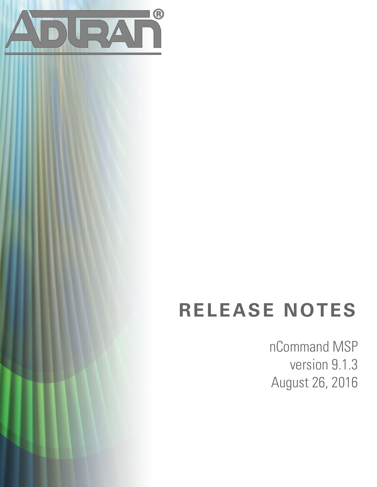

# **RELEASE NOTES**

nCommand MSP version 9.1.3 August 26, 2016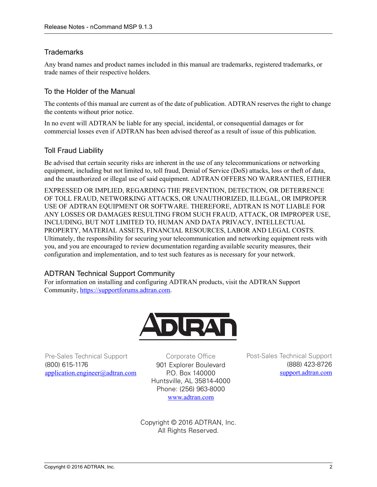## **Trademarks**

Any brand names and product names included in this manual are trademarks, registered trademarks, or trade names of their respective holders.

## To the Holder of the Manual

The contents of this manual are current as of the date of publication. ADTRAN reserves the right to change the contents without prior notice.

In no event will ADTRAN be liable for any special, incidental, or consequential damages or for commercial losses even if ADTRAN has been advised thereof as a result of issue of this publication.

## Toll Fraud Liability

Be advised that certain security risks are inherent in the use of any telecommunications or networking equipment, including but not limited to, toll fraud, Denial of Service (DoS) attacks, loss or theft of data, and the unauthorized or illegal use of said equipment. ADTRAN OFFERS NO WARRANTIES, EITHER

EXPRESSED OR IMPLIED, REGARDING THE PREVENTION, DETECTION, OR DETERRENCE OF TOLL FRAUD, NETWORKING ATTACKS, OR UNAUTHORIZED, ILLEGAL, OR IMPROPER USE OF ADTRAN EQUIPMENT OR SOFTWARE. THEREFORE, ADTRAN IS NOT LIABLE FOR ANY LOSSES OR DAMAGES RESULTING FROM SUCH FRAUD, ATTACK, OR IMPROPER USE, INCLUDING, BUT NOT LIMITED TO, HUMAN AND DATA PRIVACY, INTELLECTUAL PROPERTY, MATERIAL ASSETS, FINANCIAL RESOURCES, LABOR AND LEGAL COSTS. Ultimately, the responsibility for securing your telecommunication and networking equipment rests with you, and you are encouraged to review documentation regarding available security measures, their configuration and implementation, and to test such features as is necessary for your network.

## ADTRAN Technical Support Community

For information on installing and configuring ADTRAN products, visit the ADTRAN Support Community, https://supportforums.adtran.com.



Pre-Sales Technical Support (800) 615-1176 application.engineer@adtran.com

Corporate Office 901 Explorer Boulevard P.O. Box 140000 Huntsville, AL 35814-4000 Phone: (256) 963-8000 www.adtran.com

Post-Sales Technical Support (888) 423-8726 [support.adtran.com](http://support.adtran.com) 

Copyright © 2016 ADTRAN, Inc. All Rights Reserved.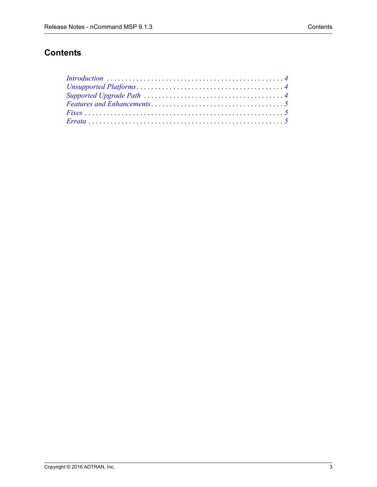# **Contents**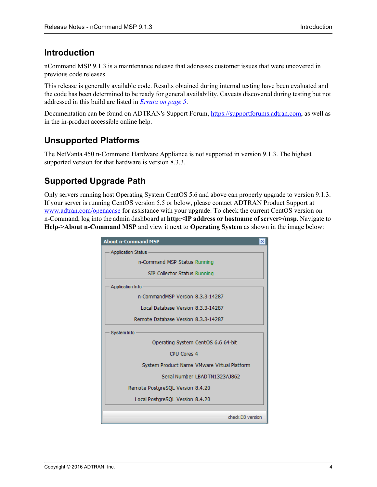# <span id="page-3-2"></span>**Introduction**

nCommand MSP 9.1.3 is a maintenance release that addresses customer issues that were uncovered in previous code releases.

This release is generally available code. Results obtained during internal testing have been evaluated and the code has been determined to be ready for general availability. Caveats discovered during testing but not addressed in this build are listed in *[Errata on page 5](#page-4-2)*.

[Documentation can be found on ADTRAN's Support Forum, h](https://supportforums.adtran.com)ttps://supportforums.adtran.com, as well as in the in-product accessible online help.

# <span id="page-3-0"></span>**Unsupported Platforms**

The NetVanta 450 n-Command Hardware Appliance is not supported in version 9.1.3. The highest supported version for that hardware is version 8.3.3.

# <span id="page-3-1"></span>**Supported Upgrade Path**

Only servers running host Operating System CentOS 5.6 and above can properly upgrade to version 9.1.3. If your server is running CentOS version 5.5 or below, please contact ADTRAN Product Support at <www.adtran.com/openacase>for assistance with your upgrade. To check the current CentOS version on n-Command, log into the admin dashboard at **http:<IP address or hostname of server>/msp**. Navigate to **Help->About n-Command MSP** and view it next to **Operating System** as shown in the image below:

| <b>About n-Command MSP</b>                  |
|---------------------------------------------|
| <b>Application Status</b>                   |
| n-Command MSP Status Running                |
| SIP Collector Status Running                |
| Application Info                            |
| n-CommandMSP Version 8.3.3-14287            |
| Local Database Version 8.3.3-14287          |
| Remote Database Version 8.3.3-14287         |
| System Info                                 |
| Operating System CentOS 6.6 64-bit          |
| CPU Cores 4                                 |
| System Product Name VMware Virtual Platform |
| Serial Number LBADTN1323AJ862               |
| Remote PostgreSQL Version 8.4.20            |
| Local PostgreSQL Version 8.4.20             |
|                                             |
| check DB version                            |